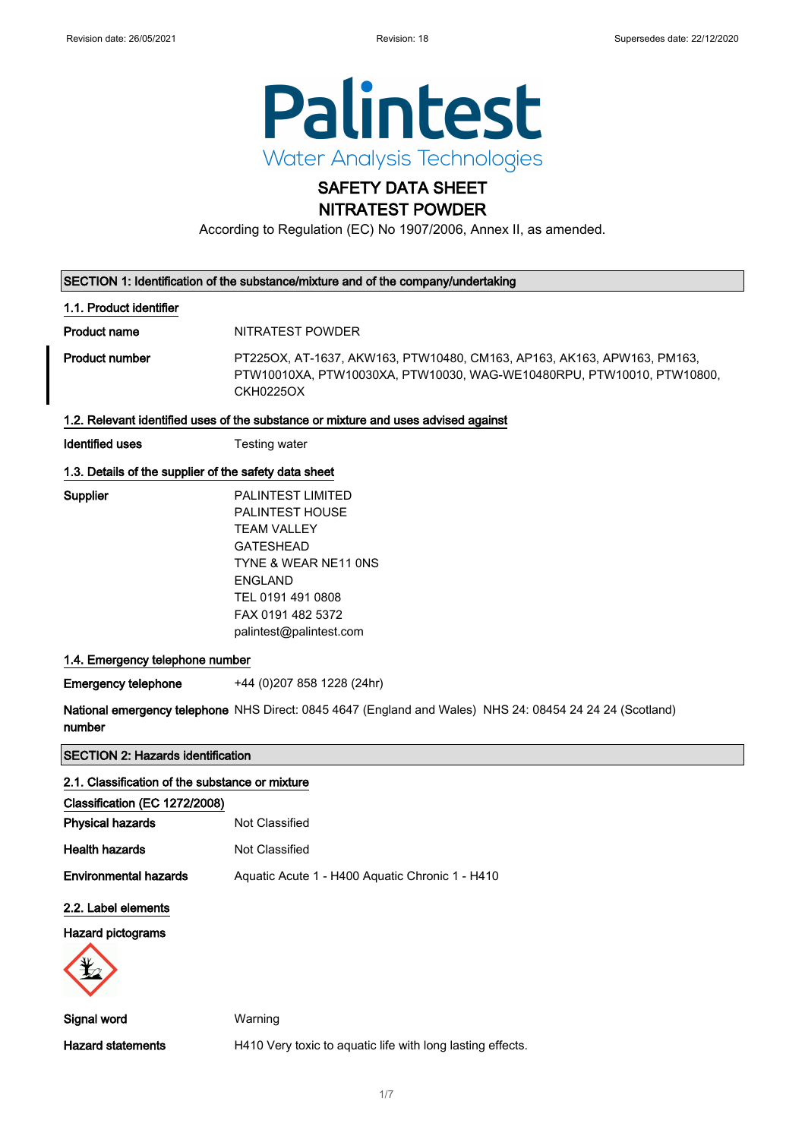

## SAFETY DATA SHEET NITRATEST POWDER

According to Regulation (EC) No 1907/2006, Annex II, as amended.

#### SECTION 1: Identification of the substance/mixture and of the company/undertaking

#### 1.1. Product identifier

Product name NITRATEST POWDER

Product number PT225OX, AT-1637, AKW163, PTW10480, CM163, AP163, AK163, APW163, PM163, PTW10010XA, PTW10030XA, PTW10030, WAG-WE10480RPU, PTW10010, PTW10800, CKH0225OX

#### 1.2. Relevant identified uses of the substance or mixture and uses advised against

Identified uses Testing water

#### 1.3. Details of the supplier of the safety data sheet

| Supplier | <b>PALINTEST LIMITED</b> |
|----------|--------------------------|
|          |                          |
|          | <b>PALINTEST HOUSE</b>   |
|          | <b>TEAM VALLEY</b>       |
|          | GATESHEAD                |
|          | TYNE & WEAR NE11 ONS     |
|          | ENGLAND                  |
|          | TEL 0191 491 0808        |
|          | FAX 0191 482 5372        |
|          | palintest@palintest.com  |

#### 1.4. Emergency telephone number

Emergency telephone +44 (0)207 858 1228 (24hr)

National emergency telephone NHS Direct: 0845 4647 (England and Wales) NHS 24: 08454 24 24 24 (Scotland) number

SECTION 2: Hazards identification

| 2.1. Classification of the substance or mixture |                                                            |
|-------------------------------------------------|------------------------------------------------------------|
| Classification (EC 1272/2008)                   |                                                            |
| <b>Physical hazards</b>                         | Not Classified                                             |
| <b>Health hazards</b>                           | Not Classified                                             |
| <b>Environmental hazards</b>                    | Aquatic Acute 1 - H400 Aquatic Chronic 1 - H410            |
| 2.2. Label elements                             |                                                            |
| <b>Hazard pictograms</b>                        |                                                            |
| Signal word                                     | Warning                                                    |
| <b>Hazard statements</b>                        | H410 Very toxic to aquatic life with long lasting effects. |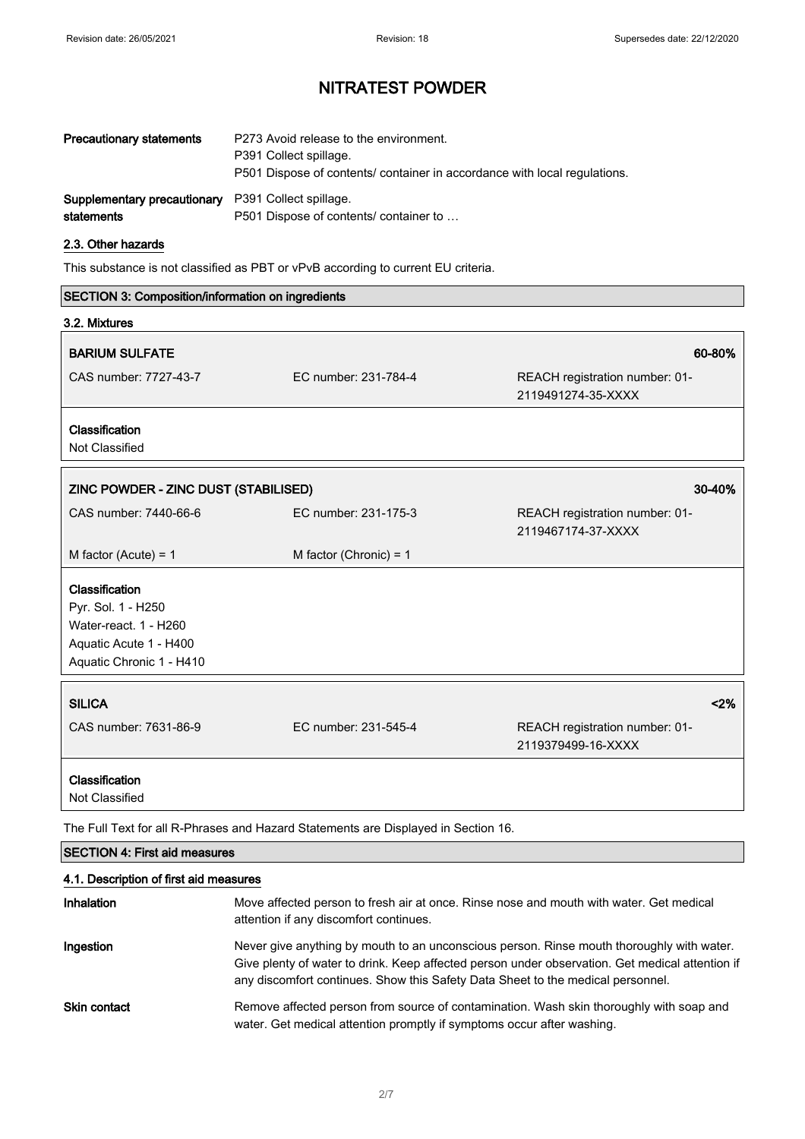| <b>Precautionary statements</b><br>P273 Avoid release to the environment.<br>P391 Collect spillage. |                                                                           |
|-----------------------------------------------------------------------------------------------------|---------------------------------------------------------------------------|
|                                                                                                     | P501 Dispose of contents/ container in accordance with local regulations. |
| <b>Supplementary precautionary</b> P391 Collect spillage.                                           |                                                                           |
| statements                                                                                          | P501 Dispose of contents/ container to                                    |

#### 2.3. Other hazards

This substance is not classified as PBT or vPvB according to current EU criteria.

| SECTION 3: Composition/information on ingredients                                                                   |                          |                                                      |
|---------------------------------------------------------------------------------------------------------------------|--------------------------|------------------------------------------------------|
| 3.2. Mixtures                                                                                                       |                          |                                                      |
| <b>BARIUM SULFATE</b>                                                                                               |                          | 60-80%                                               |
| CAS number: 7727-43-7                                                                                               | EC number: 231-784-4     | REACH registration number: 01-<br>2119491274-35-XXXX |
| Classification<br><b>Not Classified</b>                                                                             |                          |                                                      |
| ZINC POWDER - ZINC DUST (STABILISED)                                                                                |                          | 30-40%                                               |
| CAS number: 7440-66-6                                                                                               | EC number: 231-175-3     | REACH registration number: 01-<br>2119467174-37-XXXX |
| M factor (Acute) = $1$                                                                                              | M factor (Chronic) = $1$ |                                                      |
| Classification<br>Pyr. Sol. 1 - H250<br>Water-react. 1 - H260<br>Aquatic Acute 1 - H400<br>Aquatic Chronic 1 - H410 |                          |                                                      |
| <b>SILICA</b>                                                                                                       |                          | $<$ 2%                                               |
| CAS number: 7631-86-9                                                                                               | EC number: 231-545-4     | REACH registration number: 01-<br>2119379499-16-XXXX |
| Classification<br>Not Classified                                                                                    |                          |                                                      |

The Full Text for all R-Phrases and Hazard Statements are Displayed in Section 16.

### SECTION 4: First aid measures

### 4.1. Description of first aid measures

| Inhalation   | Move affected person to fresh air at once. Rinse nose and mouth with water. Get medical<br>attention if any discomfort continues.                                                                                                                                               |
|--------------|---------------------------------------------------------------------------------------------------------------------------------------------------------------------------------------------------------------------------------------------------------------------------------|
| Ingestion    | Never give anything by mouth to an unconscious person. Rinse mouth thoroughly with water.<br>Give plenty of water to drink. Keep affected person under observation. Get medical attention if<br>any discomfort continues. Show this Safety Data Sheet to the medical personnel. |
| Skin contact | Remove affected person from source of contamination. Wash skin thoroughly with soap and<br>water. Get medical attention promptly if symptoms occur after washing.                                                                                                               |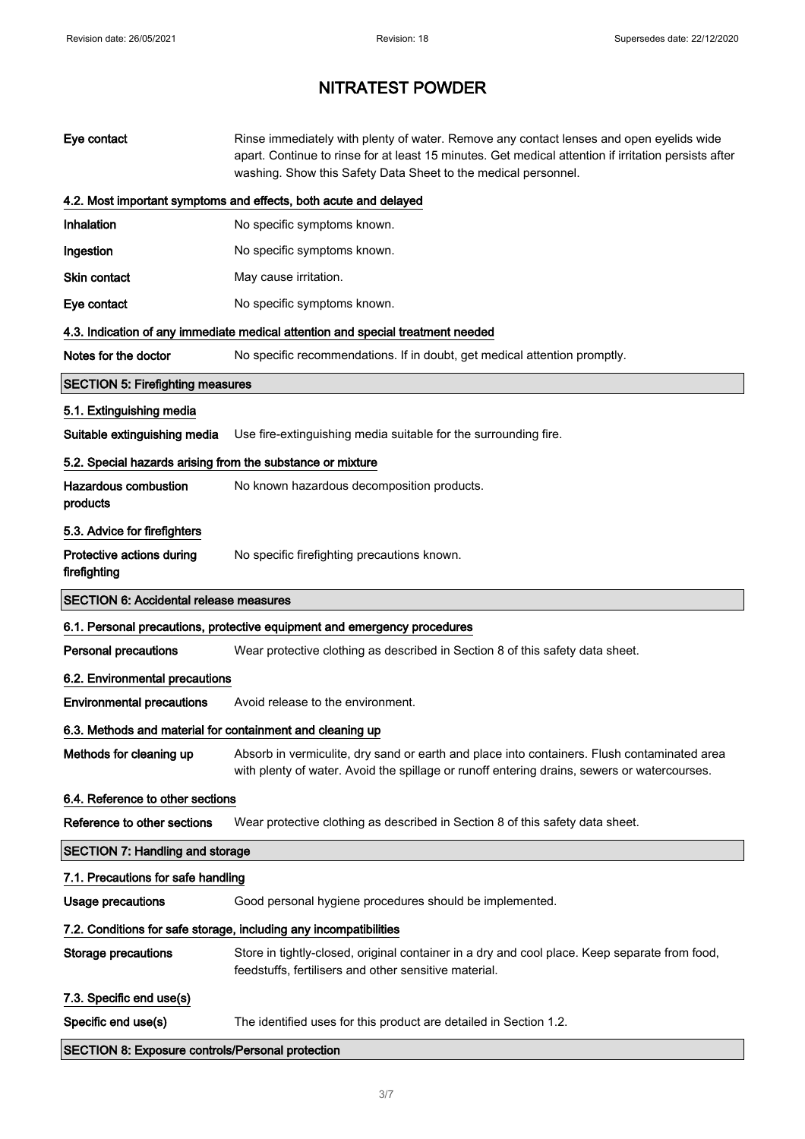| Eye contact                                                | Rinse immediately with plenty of water. Remove any contact lenses and open eyelids wide<br>apart. Continue to rinse for at least 15 minutes. Get medical attention if irritation persists after<br>washing. Show this Safety Data Sheet to the medical personnel. |  |
|------------------------------------------------------------|-------------------------------------------------------------------------------------------------------------------------------------------------------------------------------------------------------------------------------------------------------------------|--|
|                                                            | 4.2. Most important symptoms and effects, both acute and delayed                                                                                                                                                                                                  |  |
| Inhalation                                                 | No specific symptoms known.                                                                                                                                                                                                                                       |  |
| Ingestion                                                  | No specific symptoms known.                                                                                                                                                                                                                                       |  |
| <b>Skin contact</b>                                        | May cause irritation.                                                                                                                                                                                                                                             |  |
| Eye contact                                                | No specific symptoms known.                                                                                                                                                                                                                                       |  |
|                                                            | 4.3. Indication of any immediate medical attention and special treatment needed                                                                                                                                                                                   |  |
| Notes for the doctor                                       | No specific recommendations. If in doubt, get medical attention promptly.                                                                                                                                                                                         |  |
| <b>SECTION 5: Firefighting measures</b>                    |                                                                                                                                                                                                                                                                   |  |
| 5.1. Extinguishing media                                   |                                                                                                                                                                                                                                                                   |  |
| Suitable extinguishing media                               | Use fire-extinguishing media suitable for the surrounding fire.                                                                                                                                                                                                   |  |
| 5.2. Special hazards arising from the substance or mixture |                                                                                                                                                                                                                                                                   |  |
| <b>Hazardous combustion</b><br>products                    | No known hazardous decomposition products.                                                                                                                                                                                                                        |  |
| 5.3. Advice for firefighters                               |                                                                                                                                                                                                                                                                   |  |
| Protective actions during<br>firefighting                  | No specific firefighting precautions known.                                                                                                                                                                                                                       |  |
| <b>SECTION 6: Accidental release measures</b>              |                                                                                                                                                                                                                                                                   |  |
|                                                            |                                                                                                                                                                                                                                                                   |  |
|                                                            | 6.1. Personal precautions, protective equipment and emergency procedures                                                                                                                                                                                          |  |
| <b>Personal precautions</b>                                | Wear protective clothing as described in Section 8 of this safety data sheet.                                                                                                                                                                                     |  |
| 6.2. Environmental precautions                             |                                                                                                                                                                                                                                                                   |  |
| <b>Environmental precautions</b>                           | Avoid release to the environment.                                                                                                                                                                                                                                 |  |
| 6.3. Methods and material for containment and cleaning up  |                                                                                                                                                                                                                                                                   |  |
| Methods for cleaning up                                    | Absorb in vermiculite, dry sand or earth and place into containers. Flush contaminated area<br>with plenty of water. Avoid the spillage or runoff entering drains, sewers or watercourses.                                                                        |  |
| 6.4. Reference to other sections                           |                                                                                                                                                                                                                                                                   |  |
| Reference to other sections                                | Wear protective clothing as described in Section 8 of this safety data sheet.                                                                                                                                                                                     |  |
| <b>SECTION 7: Handling and storage</b>                     |                                                                                                                                                                                                                                                                   |  |
| 7.1. Precautions for safe handling                         |                                                                                                                                                                                                                                                                   |  |
| <b>Usage precautions</b>                                   | Good personal hygiene procedures should be implemented.                                                                                                                                                                                                           |  |
|                                                            | 7.2. Conditions for safe storage, including any incompatibilities                                                                                                                                                                                                 |  |
| <b>Storage precautions</b>                                 | Store in tightly-closed, original container in a dry and cool place. Keep separate from food,<br>feedstuffs, fertilisers and other sensitive material.                                                                                                            |  |
| 7.3. Specific end use(s)                                   |                                                                                                                                                                                                                                                                   |  |
| Specific end use(s)                                        | The identified uses for this product are detailed in Section 1.2.                                                                                                                                                                                                 |  |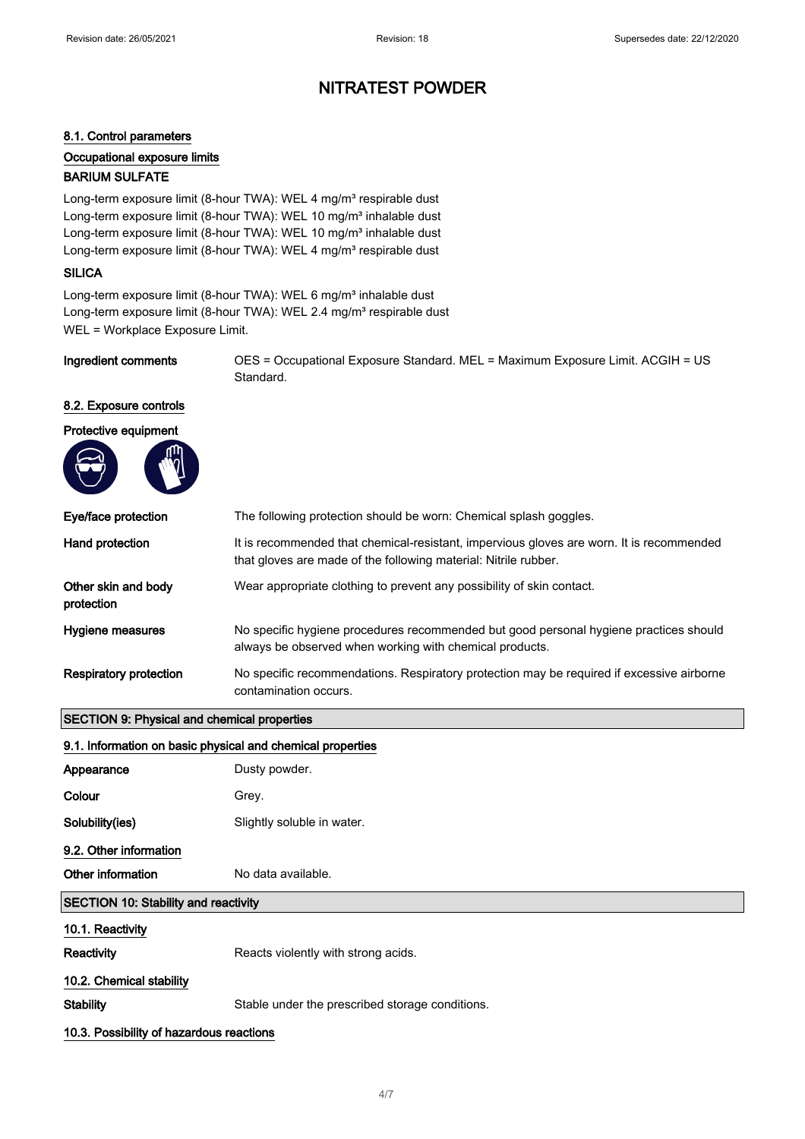#### 8.1. Control parameters

Occupational exposure limits

#### BARIUM SULFATE

Long-term exposure limit (8-hour TWA): WEL 4 mg/m<sup>3</sup> respirable dust Long-term exposure limit (8-hour TWA): WEL 10 mg/m<sup>3</sup> inhalable dust Long-term exposure limit (8-hour TWA): WEL 10 mg/m<sup>3</sup> inhalable dust Long-term exposure limit (8-hour TWA): WEL 4 mg/m<sup>3</sup> respirable dust

#### **SILICA**

 $\sqrt{2}$ 

Long-term exposure limit (8-hour TWA): WEL 6 mg/m<sup>3</sup> inhalable dust Long-term exposure limit (8-hour TWA): WEL 2.4 mg/m<sup>3</sup> respirable dust WEL = Workplace Exposure Limit.

Ingredient comments OES = Occupational Exposure Standard. MEL = Maximum Exposure Limit. ACGIH = US Standard.

#### 8.2. Exposure controls



| Eye/face protection               | The following protection should be worn: Chemical splash goggles.                                                                                           |
|-----------------------------------|-------------------------------------------------------------------------------------------------------------------------------------------------------------|
| Hand protection                   | It is recommended that chemical-resistant, impervious gloves are worn. It is recommended<br>that gloves are made of the following material: Nitrile rubber. |
| Other skin and body<br>protection | Wear appropriate clothing to prevent any possibility of skin contact.                                                                                       |
| Hygiene measures                  | No specific hygiene procedures recommended but good personal hygiene practices should<br>always be observed when working with chemical products.            |
| <b>Respiratory protection</b>     | No specific recommendations. Respiratory protection may be required if excessive airborne<br>contamination occurs.                                          |

#### SECTION 9: Physical and chemical properties

#### 9.1. Information on basic physical and chemical properties

| Appearance                                  | Dusty powder.                                   |
|---------------------------------------------|-------------------------------------------------|
| Colour                                      | Grey.                                           |
| Solubility(ies)                             | Slightly soluble in water.                      |
| 9.2. Other information                      |                                                 |
| Other information                           | No data available.                              |
| <b>SECTION 10: Stability and reactivity</b> |                                                 |
| 10.1. Reactivity                            |                                                 |
| Reactivity                                  | Reacts violently with strong acids.             |
| 10.2. Chemical stability                    |                                                 |
| <b>Stability</b>                            | Stable under the prescribed storage conditions. |
| 10.3. Possibility of hazardous reactions    |                                                 |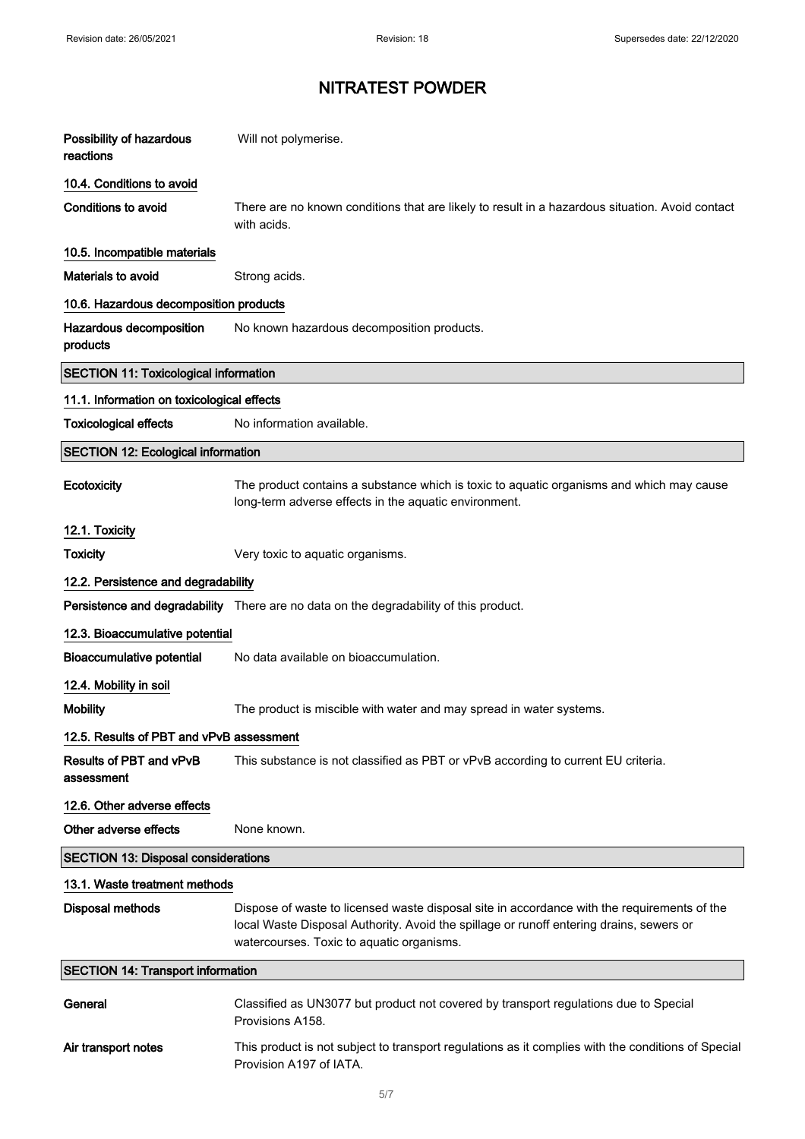| Possibility of hazardous<br>reactions        | Will not polymerise.                                                                                                                                                                                                                |  |
|----------------------------------------------|-------------------------------------------------------------------------------------------------------------------------------------------------------------------------------------------------------------------------------------|--|
| 10.4. Conditions to avoid                    |                                                                                                                                                                                                                                     |  |
| Conditions to avoid                          | There are no known conditions that are likely to result in a hazardous situation. Avoid contact<br>with acids.                                                                                                                      |  |
| 10.5. Incompatible materials                 |                                                                                                                                                                                                                                     |  |
| Materials to avoid                           | Strong acids.                                                                                                                                                                                                                       |  |
| 10.6. Hazardous decomposition products       |                                                                                                                                                                                                                                     |  |
| Hazardous decomposition<br>products          | No known hazardous decomposition products.                                                                                                                                                                                          |  |
| <b>SECTION 11: Toxicological information</b> |                                                                                                                                                                                                                                     |  |
| 11.1. Information on toxicological effects   |                                                                                                                                                                                                                                     |  |
| <b>Toxicological effects</b>                 | No information available.                                                                                                                                                                                                           |  |
| <b>SECTION 12: Ecological information</b>    |                                                                                                                                                                                                                                     |  |
| Ecotoxicity                                  | The product contains a substance which is toxic to aquatic organisms and which may cause<br>long-term adverse effects in the aquatic environment.                                                                                   |  |
| 12.1. Toxicity                               |                                                                                                                                                                                                                                     |  |
| <b>Toxicity</b>                              | Very toxic to aquatic organisms.                                                                                                                                                                                                    |  |
| 12.2. Persistence and degradability          |                                                                                                                                                                                                                                     |  |
|                                              | Persistence and degradability There are no data on the degradability of this product.                                                                                                                                               |  |
| 12.3. Bioaccumulative potential              |                                                                                                                                                                                                                                     |  |
| <b>Bioaccumulative potential</b>             | No data available on bioaccumulation.                                                                                                                                                                                               |  |
| 12.4. Mobility in soil                       |                                                                                                                                                                                                                                     |  |
| <b>Mobility</b>                              | The product is miscible with water and may spread in water systems.                                                                                                                                                                 |  |
| 12.5. Results of PBT and vPvB assessment     |                                                                                                                                                                                                                                     |  |
| Results of PBT and vPvB<br>assessment        | This substance is not classified as PBT or vPvB according to current EU criteria.                                                                                                                                                   |  |
| 12.6. Other adverse effects                  |                                                                                                                                                                                                                                     |  |
| Other adverse effects                        | None known.                                                                                                                                                                                                                         |  |
| <b>SECTION 13: Disposal considerations</b>   |                                                                                                                                                                                                                                     |  |
| 13.1. Waste treatment methods                |                                                                                                                                                                                                                                     |  |
| <b>Disposal methods</b>                      | Dispose of waste to licensed waste disposal site in accordance with the requirements of the<br>local Waste Disposal Authority. Avoid the spillage or runoff entering drains, sewers or<br>watercourses. Toxic to aquatic organisms. |  |
| <b>SECTION 14: Transport information</b>     |                                                                                                                                                                                                                                     |  |
| General                                      | Classified as UN3077 but product not covered by transport regulations due to Special<br>Provisions A158.                                                                                                                            |  |
| Air transport notes                          | This product is not subject to transport regulations as it complies with the conditions of Special<br>Provision A197 of IATA.                                                                                                       |  |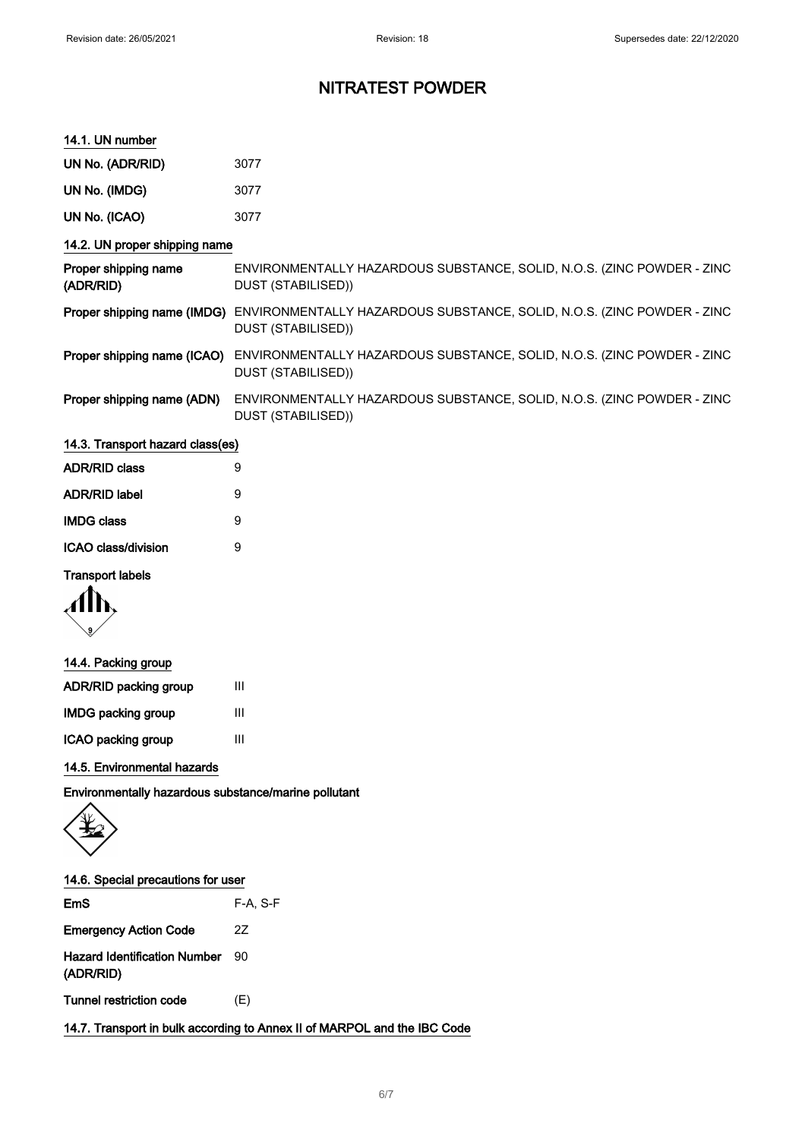#### 14.1. UN number

| UN No. (ADR/RID) | 3077 |
|------------------|------|
| UN No. (IMDG)    | 3077 |

|  | UN No. (ICAO) | 3077 |
|--|---------------|------|
|--|---------------|------|

### 14.2. UN proper shipping name

| Proper shipping name<br>(ADR/RID) | ENVIRONMENTALLY HAZARDOUS SUBSTANCE, SOLID, N.O.S. (ZINC POWDER - ZINC<br>DUST (STABILISED))                             |
|-----------------------------------|--------------------------------------------------------------------------------------------------------------------------|
|                                   | Proper shipping name (IMDG) ENVIRONMENTALLY HAZARDOUS SUBSTANCE, SOLID, N.O.S. (ZINC POWDER - ZINC<br>DUST (STABILISED)) |
| Proper shipping name (ICAO)       | ENVIRONMENTALLY HAZARDOUS SUBSTANCE, SOLID, N.O.S. (ZINC POWDER - ZINC<br>DUST (STABILISED))                             |
| Proper shipping name (ADN)        | ENVIRONMENTALLY HAZARDOUS SUBSTANCE, SOLID, N.O.S. (ZINC POWDER - ZINC<br>DUST (STABILISED))                             |

### 14.3. Transport hazard class(es)

| <b>ADR/RID class</b>     | 9 |
|--------------------------|---|
| <b>ADR/RID label</b>     | 9 |
| <b>IMDG class</b>        | 9 |
| ICAO class/division<br>g |   |
|                          |   |

### Transport labels



# 14.4. Packing group ADR/RID packing group III

| <b>IMDG packing group</b> | Ш |
|---------------------------|---|
| ICAO packing group        | Ш |

### 14.5. Environmental hazards

Environmentally hazardous substance/marine pollutant

|  |  | 14.6. Special precautions for user |  |  |
|--|--|------------------------------------|--|--|
|--|--|------------------------------------|--|--|

| Tunnel restriction code                          | (E)        |
|--------------------------------------------------|------------|
| <b>Hazard Identification Number</b><br>(ADR/RID) | 90         |
| <b>Emergency Action Code</b>                     | 27         |
| <b>EmS</b>                                       | $F-A, S-F$ |

14.7. Transport in bulk according to Annex II of MARPOL and the IBC Code